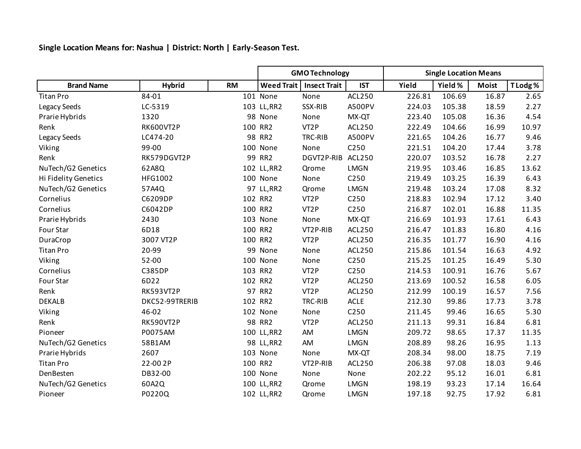**Single Location Means for: Nashua | District: North | Early-Season Test.**

|                      |                  |           | <b>GMO Technology</b> |                     |               | <b>Single Location Means</b> |         |              |          |
|----------------------|------------------|-----------|-----------------------|---------------------|---------------|------------------------------|---------|--------------|----------|
| <b>Brand Name</b>    | <b>Hybrid</b>    | <b>RM</b> | <b>Weed Trait</b>     | <b>Insect Trait</b> | <b>IST</b>    | Yield                        | Yield % | <b>Moist</b> | T Lodg % |
| <b>Titan Pro</b>     | 84-01            |           | 101 None              | None                | ACL250        | 226.81                       | 106.69  | 16.87        | 2.65     |
| Legacy Seeds         | LC-5319          |           | 103 LL, RR2           | SSX-RIB             | A500PV        | 224.03                       | 105.38  | 18.59        | 2.27     |
| Prarie Hybrids       | 1320             |           | 98 None               | None                | MX-QT         | 223.40                       | 105.08  | 16.36        | 4.54     |
| Renk                 | <b>RK600VT2P</b> | 100       | RR <sub>2</sub>       | VT <sub>2</sub> P   | ACL250        | 222.49                       | 104.66  | 16.99        | 10.97    |
| Legacy Seeds         | LC474-20         |           | 98 RR2                | TRC-RIB             | A500PV        | 221.65                       | 104.26  | 16.77        | 9.46     |
| Viking               | 99-00            |           | 100 None              | None                | C250          | 221.51                       | 104.20  | 17.44        | 3.78     |
| Renk                 | RK579DGVT2P      | 99        | RR <sub>2</sub>       | DGVT2P-RIB          | <b>ACL250</b> | 220.07                       | 103.52  | 16.78        | 2.27     |
| NuTech/G2 Genetics   | 62A8Q            |           | 102 LL, RR2           | Qrome               | <b>LMGN</b>   | 219.95                       | 103.46  | 16.85        | 13.62    |
| Hi Fidelity Genetics | <b>HFG1002</b>   |           | 100 None              | None                | C250          | 219.49                       | 103.25  | 16.39        | 6.43     |
| NuTech/G2 Genetics   | 57A4Q            |           | 97 LL, RR2            | Qrome               | <b>LMGN</b>   | 219.48                       | 103.24  | 17.08        | 8.32     |
| Cornelius            | C6209DP          |           | 102 RR2               | VT <sub>2</sub> P   | C250          | 218.83                       | 102.94  | 17.12        | 3.40     |
| Cornelius            | C6042DP          |           | 100 RR2               | VT <sub>2</sub> P   | C250          | 216.87                       | 102.01  | 16.88        | 11.35    |
| Prarie Hybrids       | 2430             |           | 103 None              | None                | MX-QT         | 216.69                       | 101.93  | 17.61        | 6.43     |
| Four Star            | 6D18             | 100       | RR <sub>2</sub>       | VT2P-RIB            | ACL250        | 216.47                       | 101.83  | 16.80        | 4.16     |
| DuraCrop             | 3007 VT2P        |           | 100 RR2               | VT <sub>2</sub> P   | <b>ACL250</b> | 216.35                       | 101.77  | 16.90        | 4.16     |
| <b>Titan Pro</b>     | 20-99            | 99        | None                  | None                | ACL250        | 215.86                       | 101.54  | 16.63        | 4.92     |
| Viking               | 52-00            | 100       | None                  | None                | C250          | 215.25                       | 101.25  | 16.49        | 5.30     |
| Cornelius            | <b>C385DP</b>    |           | 103 RR2               | VT <sub>2</sub> P   | C250          | 214.53                       | 100.91  | 16.76        | 5.67     |
| Four Star            | 6D22             |           | 102 RR2               | VT <sub>2</sub> P   | ACL250        | 213.69                       | 100.52  | 16.58        | 6.05     |
| Renk                 | <b>RK593VT2P</b> |           | 97 RR2                | VT <sub>2</sub> P   | ACL250        | 212.99                       | 100.19  | 16.57        | 7.56     |
| <b>DEKALB</b>        | DKC52-99TRERIB   |           | 102 RR2               | TRC-RIB             | <b>ACLE</b>   | 212.30                       | 99.86   | 17.73        | 3.78     |
| Viking               | 46-02            |           | 102 None              | None                | C250          | 211.45                       | 99.46   | 16.65        | 5.30     |
| Renk                 | RK590VT2P        |           | 98 RR2                | VT <sub>2</sub> P   | ACL250        | 211.13                       | 99.31   | 16.84        | 6.81     |
| Pioneer              | P0075AM          |           | 100 LL, RR2           | AM                  | <b>LMGN</b>   | 209.72                       | 98.65   | 17.37        | 11.35    |
| NuTech/G2 Genetics   | 58B1AM           |           | 98 LL, RR2            | AM                  | <b>LMGN</b>   | 208.89                       | 98.26   | 16.95        | 1.13     |
| Prarie Hybrids       | 2607             |           | 103 None              | None                | MX-QT         | 208.34                       | 98.00   | 18.75        | 7.19     |
| <b>Titan Pro</b>     | 22-00 2P         |           | 100 RR2               | VT2P-RIB            | ACL250        | 206.38                       | 97.08   | 18.03        | 9.46     |
| DenBesten            | DB32-00          |           | 100 None              | None                | None          | 202.22                       | 95.12   | 16.01        | 6.81     |
| NuTech/G2 Genetics   | 60A2Q            |           | 100 LL, RR2           | Qrome               | <b>LMGN</b>   | 198.19                       | 93.23   | 17.14        | 16.64    |
| Pioneer              | P0220Q           |           | 102 LL, RR2           | Qrome               | <b>LMGN</b>   | 197.18                       | 92.75   | 17.92        | 6.81     |